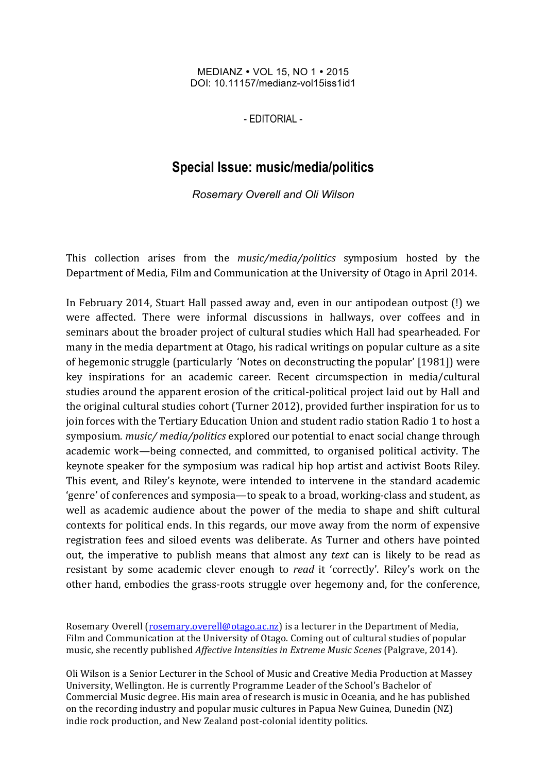MEDIANZ • VOL 15, NO 1 • 2015 DOI: 10.11157/medianz-vol15iss1id1

- EDITORIAL -

## **Special Issue: music/media/politics**

*Rosemary Overell and Oli Wilson*

This collection arises from the *music/media/politics* symposium hosted by the Department of Media, Film and Communication at the University of Otago in April 2014.

In February 2014, Stuart Hall passed away and, even in our antipodean outpost (!) we were affected. There were informal discussions in hallways, over coffees and in seminars about the broader project of cultural studies which Hall had spearheaded. For many in the media department at Otago, his radical writings on popular culture as a site of hegemonic struggle (particularly 'Notes on deconstructing the popular' [1981]) were key inspirations for an academic career. Recent circumspection in media/cultural studies around the apparent erosion of the critical-political project laid out by Hall and the original cultural studies cohort (Turner 2012), provided further inspiration for us to join forces with the Tertiary Education Union and student radio station Radio 1 to host a symposium. *music/* media/politics explored our potential to enact social change through academic work—being connected, and committed, to organised political activity. The keynote speaker for the symposium was radical hip hop artist and activist Boots Riley. This event, and Riley's keynote, were intended to intervene in the standard academic 'genre' of conferences and symposia—to speak to a broad, working-class and student, as well as academic audience about the power of the media to shape and shift cultural contexts for political ends. In this regards, our move away from the norm of expensive registration fees and siloed events was deliberate. As Turner and others have pointed out, the imperative to publish means that almost any *text* can is likely to be read as resistant by some academic clever enough to *read* it 'correctly'. Riley's work on the other hand, embodies the grass-roots struggle over hegemony and, for the conference,

Rosemary Overell (rosemary.overell@otago.ac.nz) is a lecturer in the Department of Media, Film and Communication at the University of Otago. Coming out of cultural studies of popular music, she recently published *Affective Intensities in Extreme Music Scenes* (Palgrave, 2014).

Oli Wilson is a Senior Lecturer in the School of Music and Creative Media Production at Massey University, Wellington. He is currently Programme Leader of the School's Bachelor of Commercial Music degree. His main area of research is music in Oceania, and he has published on the recording industry and popular music cultures in Papua New Guinea, Dunedin (NZ) indie rock production, and New Zealand post-colonial identity politics.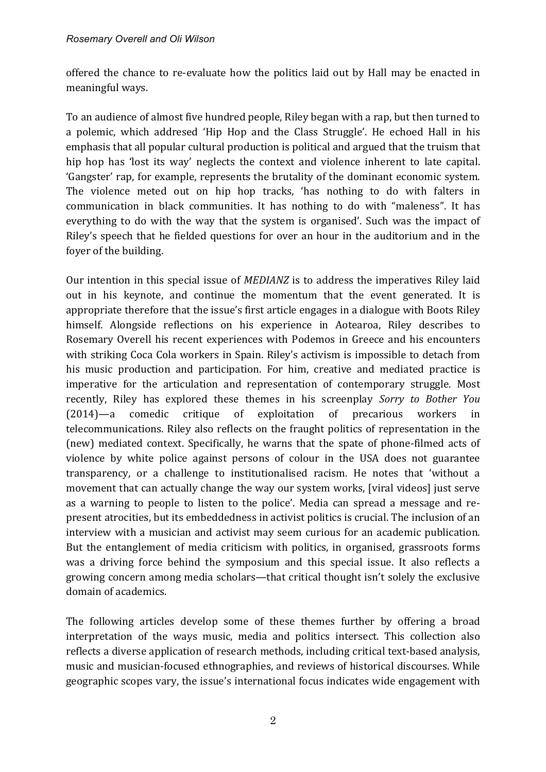offered the chance to re-evaluate how the politics laid out by Hall may be enacted in meaningful ways.

To an audience of almost five hundred people, Riley began with a rap, but then turned to a polemic, which addresed 'Hip Hop and the Class Struggle'. He echoed Hall in his emphasis that all popular cultural production is political and argued that the truism that hip hop has 'lost its way' neglects the context and violence inherent to late capital. 'Gangster' rap, for example, represents the brutality of the dominant economic system. The violence meted out on hip hop tracks, 'has nothing to do with falters in communication in black communities. It has nothing to do with "maleness". It has everything to do with the way that the system is organised'. Such was the impact of Riley's speech that he fielded questions for over an hour in the auditorium and in the foyer of the building.

Our intention in this special issue of *MEDIANZ* is to address the imperatives Riley laid out in his keynote, and continue the momentum that the event generated. It is appropriate therefore that the issue's first article engages in a dialogue with Boots Riley himself. Alongside reflections on his experience in Aotearoa, Riley describes to Rosemary Overell his recent experiences with Podemos in Greece and his encounters with striking Coca Cola workers in Spain. Riley's activism is impossible to detach from his music production and participation. For him, creative and mediated practice is imperative for the articulation and representation of contemporary struggle. Most recently, Riley has explored these themes in his screenplay *Sorry to Bother You* (2014)—a comedic critique of exploitation of precarious workers in telecommunications. Riley also reflects on the fraught politics of representation in the (new) mediated context. Specifically, he warns that the spate of phone-filmed acts of violence by white police against persons of colour in the USA does not guarantee transparency, or a challenge to institutionalised racism. He notes that 'without a movement that can actually change the way our system works, [viral videos] just serve as a warning to people to listen to the police'. Media can spread a message and represent atrocities, but its embeddedness in activist politics is crucial. The inclusion of an interview with a musician and activist may seem curious for an academic publication. But the entanglement of media criticism with politics, in organised, grassroots forms was a driving force behind the symposium and this special issue. It also reflects a growing concern among media scholars—that critical thought isn't solely the exclusive domain of academics.

The following articles develop some of these themes further by offering a broad interpretation of the ways music, media and politics intersect. This collection also reflects a diverse application of research methods, including critical text-based analysis, music and musician-focused ethnographies, and reviews of historical discourses. While geographic scopes vary, the issue's international focus indicates wide engagement with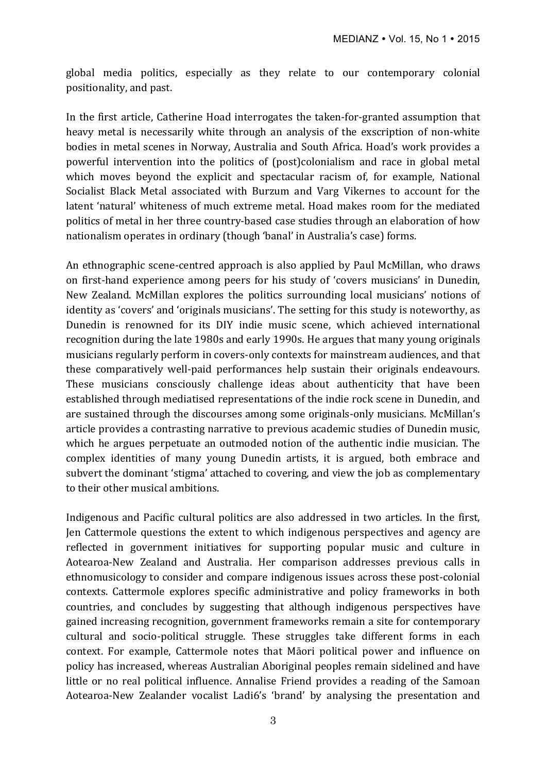global media politics, especially as they relate to our contemporary colonial positionality, and past.

In the first article, Catherine Hoad interrogates the taken-for-granted assumption that heavy metal is necessarily white through an analysis of the exscription of non-white bodies in metal scenes in Norway, Australia and South Africa. Hoad's work provides a powerful intervention into the politics of (post)colonialism and race in global metal which moves beyond the explicit and spectacular racism of, for example, National Socialist Black Metal associated with Burzum and Varg Vikernes to account for the latent 'natural' whiteness of much extreme metal. Hoad makes room for the mediated politics of metal in her three country-based case studies through an elaboration of how nationalism operates in ordinary (though 'banal' in Australia's case) forms.

An ethnographic scene-centred approach is also applied by Paul McMillan, who draws on first-hand experience among peers for his study of 'covers musicians' in Dunedin, New Zealand. McMillan explores the politics surrounding local musicians' notions of identity as 'covers' and 'originals musicians'. The setting for this study is noteworthy, as Dunedin is renowned for its DIY indie music scene, which achieved international recognition during the late 1980s and early 1990s. He argues that many young originals musicians regularly perform in covers-only contexts for mainstream audiences, and that these comparatively well-paid performances help sustain their originals endeavours. These musicians consciously challenge ideas about authenticity that have been established through mediatised representations of the indie rock scene in Dunedin, and are sustained through the discourses among some originals-only musicians. McMillan's article provides a contrasting narrative to previous academic studies of Dunedin music, which he argues perpetuate an outmoded notion of the authentic indie musician. The complex identities of many young Dunedin artists, it is argued, both embrace and subvert the dominant 'stigma' attached to covering, and view the job as complementary to their other musical ambitions.

Indigenous and Pacific cultural politics are also addressed in two articles. In the first, Jen Cattermole questions the extent to which indigenous perspectives and agency are reflected in government initiatives for supporting popular music and culture in Aotearoa-New Zealand and Australia. Her comparison addresses previous calls in ethnomusicology to consider and compare indigenous issues across these post-colonial contexts. Cattermole explores specific administrative and policy frameworks in both countries, and concludes by suggesting that although indigenous perspectives have gained increasing recognition, government frameworks remain a site for contemporary cultural and socio-political struggle. These struggles take different forms in each context. For example, Cattermole notes that Māori political power and influence on policy has increased, whereas Australian Aboriginal peoples remain sidelined and have little or no real political influence. Annalise Friend provides a reading of the Samoan Aotearoa-New Zealander vocalist Ladi6's 'brand' by analysing the presentation and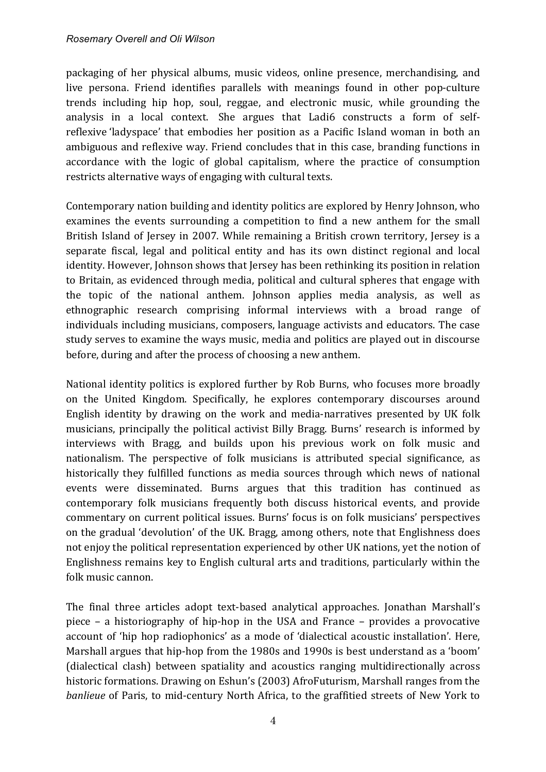packaging of her physical albums, music videos, online presence, merchandising, and live persona. Friend identifies parallels with meanings found in other pop-culture trends including hip hop, soul, reggae, and electronic music, while grounding the analysis in a local context. She argues that Ladi6 constructs a form of selfreflexive 'ladyspace' that embodies her position as a Pacific Island woman in both an ambiguous and reflexive way. Friend concludes that in this case, branding functions in accordance with the logic of global capitalism, where the practice of consumption restricts alternative ways of engaging with cultural texts.

Contemporary nation building and identity politics are explored by Henry Johnson, who examines the events surrounding a competition to find a new anthem for the small British Island of Jersey in 2007. While remaining a British crown territory, Jersey is a separate fiscal, legal and political entity and has its own distinct regional and local identity. However, Johnson shows that Jersey has been rethinking its position in relation to Britain, as evidenced through media, political and cultural spheres that engage with the topic of the national anthem. Johnson applies media analysis, as well as ethnographic research comprising informal interviews with a broad range of individuals including musicians, composers, language activists and educators. The case study serves to examine the ways music, media and politics are played out in discourse before, during and after the process of choosing a new anthem.

National identity politics is explored further by Rob Burns, who focuses more broadly on the United Kingdom. Specifically, he explores contemporary discourses around English identity by drawing on the work and media-narratives presented by UK folk musicians, principally the political activist Billy Bragg. Burns' research is informed by interviews with Bragg, and builds upon his previous work on folk music and nationalism. The perspective of folk musicians is attributed special significance, as historically they fulfilled functions as media sources through which news of national events were disseminated. Burns argues that this tradition has continued as contemporary folk musicians frequently both discuss historical events, and provide commentary on current political issues. Burns' focus is on folk musicians' perspectives on the gradual 'devolution' of the UK. Bragg, among others, note that Englishness does not enjoy the political representation experienced by other UK nations, yet the notion of Englishness remains key to English cultural arts and traditions, particularly within the folk music cannon.

The final three articles adopt text-based analytical approaches. Jonathan Marshall's piece  $-$  a historiography of hip-hop in the USA and France  $-$  provides a provocative account of 'hip hop radiophonics' as a mode of 'dialectical acoustic installation'. Here, Marshall argues that hip-hop from the 1980s and 1990s is best understand as a 'boom' (dialectical clash) between spatiality and acoustics ranging multidirectionally across historic formations. Drawing on Eshun's (2003) AfroFuturism, Marshall ranges from the *banlieue* of Paris, to mid-century North Africa, to the graffitied streets of New York to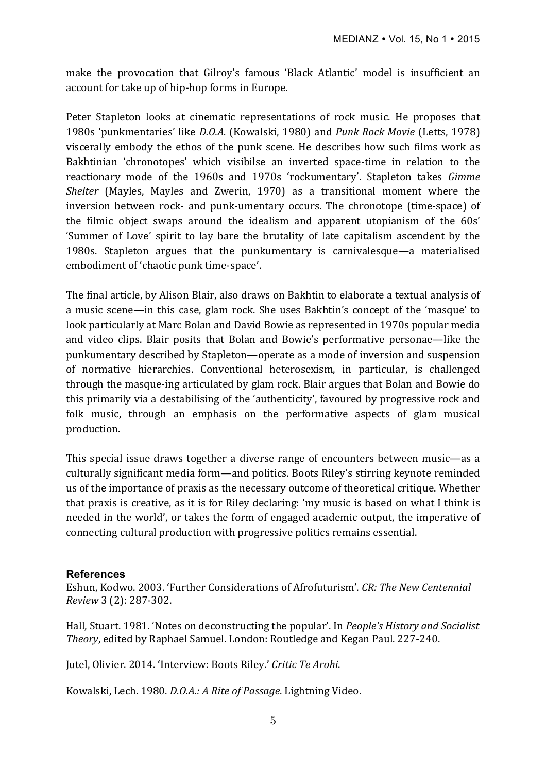make the provocation that Gilroy's famous 'Black Atlantic' model is insufficient an account for take up of hip-hop forms in Europe.

Peter Stapleton looks at cinematic representations of rock music. He proposes that 1980s 'punkmentaries' like *D.O.A.* (Kowalski, 1980) and *Punk Rock Movie* (Letts, 1978) viscerally embody the ethos of the punk scene. He describes how such films work as Bakhtinian 'chronotopes' which visibilse an inverted space-time in relation to the reactionary mode of the 1960s and 1970s 'rockumentary'. Stapleton takes *Gimme Shelter* (Mayles, Mayles and Zwerin, 1970) as a transitional moment where the inversion between rock- and punk-umentary occurs. The chronotope (time-space) of the filmic object swaps around the idealism and apparent utopianism of the  $60s'$ 'Summer of Love' spirit to lay bare the brutality of late capitalism ascendent by the 1980s. Stapleton argues that the punkumentary is carnivalesque—a materialised embodiment of 'chaotic punk time-space'.

The final article, by Alison Blair, also draws on Bakhtin to elaborate a textual analysis of a music scene—in this case, glam rock. She uses Bakhtin's concept of the 'masque' to look particularly at Marc Bolan and David Bowie as represented in 1970s popular media and video clips. Blair posits that Bolan and Bowie's performative personae—like the punkumentary described by Stapleton—operate as a mode of inversion and suspension of normative hierarchies. Conventional heterosexism, in particular, is challenged through the masque-ing articulated by glam rock. Blair argues that Bolan and Bowie do this primarily via a destabilising of the 'authenticity', favoured by progressive rock and folk music, through an emphasis on the performative aspects of glam musical production.

This special issue draws together a diverse range of encounters between music—as a culturally significant media form—and politics. Boots Riley's stirring keynote reminded us of the importance of praxis as the necessary outcome of theoretical critique. Whether that praxis is creative, as it is for Riley declaring: 'my music is based on what I think is needed in the world', or takes the form of engaged academic output, the imperative of connecting cultural production with progressive politics remains essential.

## **References**

Eshun, Kodwo. 2003. 'Further Considerations of Afrofuturism'. *CR: The New Centennial Review* 3 (2): 287-302.

Hall, Stuart. 1981. 'Notes on deconstructing the popular'. In *People's History and Socialist Theory*, edited by Raphael Samuel. London: Routledge and Kegan Paul. 227-240.

Jutel, Olivier. 2014. 'Interview: Boots Riley.' Critic Te Arohi.

Kowalski, Lech. 1980. *D.O.A.: A Rite of Passage*. Lightning Video.